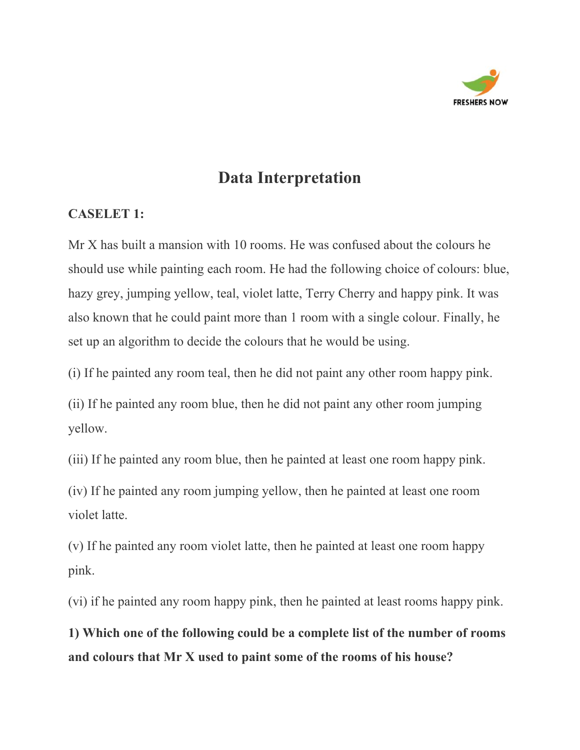

### **Data Interpretation**

#### **CASELET 1:**

Mr X has built a mansion with 10 rooms. He was confused about the colours he should use while painting each room. He had the following choice of colours: blue, hazy grey, jumping yellow, teal, violet latte, Terry Cherry and happy pink. It was also known that he could paint more than 1 room with a single colour. Finally, he set up an algorithm to decide the colours that he would be using.

(i) If he painted any room teal, then he did not paint any other room happy pink.

(ii) If he painted any room blue, then he did not paint any other room jumping yellow.

(iii) If he painted any room blue, then he painted at least one room happy pink.

(iv) If he painted any room jumping yellow, then he painted at least one room violet latte.

(v) If he painted any room violet latte, then he painted at least one room happy pink.

(vi) if he painted any room happy pink, then he painted at least rooms happy pink.

**1) Which one of the following could be a complete list of the number of rooms and colours that Mr X used to paint some of the rooms of his house?**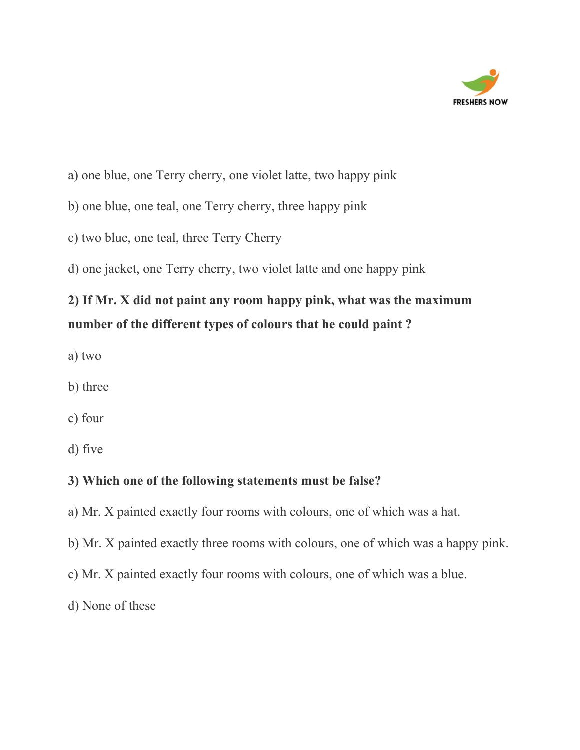

- a) one blue, one Terry cherry, one violet latte, two happy pink
- b) one blue, one teal, one Terry cherry, three happy pink
- c) two blue, one teal, three Terry Cherry
- d) one jacket, one Terry cherry, two violet latte and one happy pink

## **2) If Mr. X did not paint any room happy pink, what was the maximum number of the different types of colours that he could paint ?**

- a) two
- b) three
- c) four
- d) five

### **3) Which one of the following statements must be false?**

- a) Mr. X painted exactly four rooms with colours, one of which was a hat.
- b) Mr. X painted exactly three rooms with colours, one of which was a happy pink.
- c) Mr. X painted exactly four rooms with colours, one of which was a blue.
- d) None of these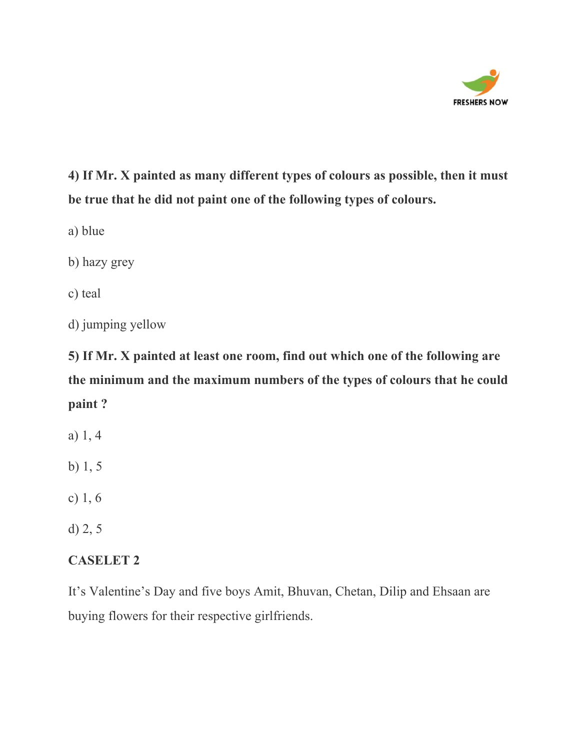

**4) If Mr. X painted as many different types of colours as possible, then it must be true that he did not paint one of the following types of colours.**

a) blue

b) hazy grey

c) teal

d) jumping yellow

**5) If Mr. X painted at least one room, find out which one of the following are the minimum and the maximum numbers of the types of colours that he could paint ?**

- a) 1, 4
- b) 1, 5
- c) 1, 6
- d) 2, 5

### **CASELET 2**

It's Valentine's Day and five boys Amit, Bhuvan, Chetan, Dilip and Ehsaan are buying flowers for their respective girlfriends.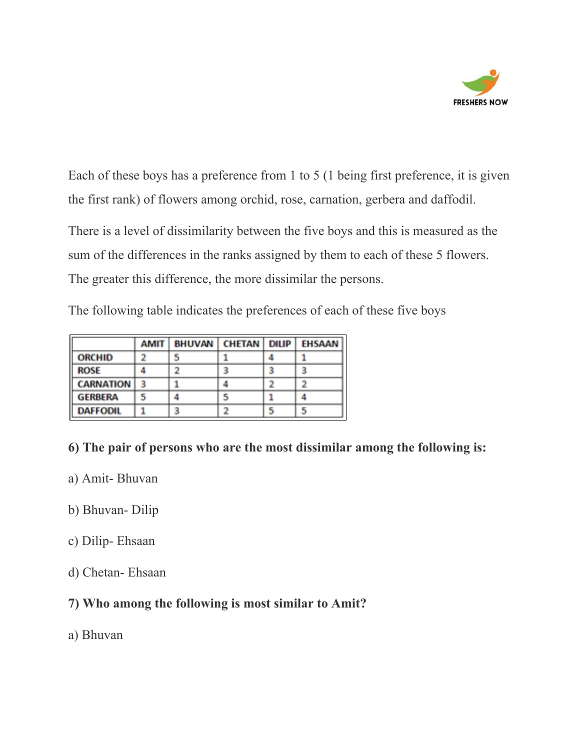

Each of these boys has a preference from 1 to 5 (1 being first preference, it is given the first rank) of flowers among orchid, rose, carnation, gerbera and daffodil.

There is a level of dissimilarity between the five boys and this is measured as the sum of the differences in the ranks assigned by them to each of these 5 flowers. The greater this difference, the more dissimilar the persons.

The following table indicates the preferences of each of these five boys

|                  | AMIT | <b>BHUVAN</b> | <b>CHETAN</b> | <b>DILIP</b> | <b>EHSAAN</b> |
|------------------|------|---------------|---------------|--------------|---------------|
| <b>ORCHID</b>    | 2    | 5             |               | 4            |               |
| <b>ROSE</b>      | 4    | ٠,            | з             | з            | 3             |
| <b>CARNATION</b> | 3    |               | 4             | 2            |               |
| <b>GERBERA</b>   | 5    | д             | 5             |              |               |
| <b>DAFFODIL</b>  |      | з             | ר             | 5            | 5             |

### **6) The pair of persons who are the most dissimilar among the following is:**

- a) Amit- Bhuvan
- b) Bhuvan- Dilip
- c) Dilip- Ehsaan
- d) Chetan- Ehsaan

### **7) Who among the following is most similar to Amit?**

a) Bhuvan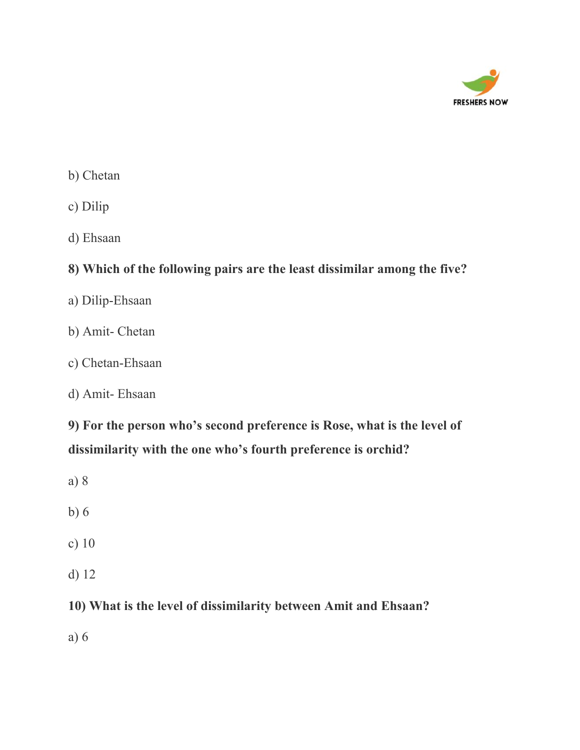

- b) Chetan
- c) Dilip
- d) Ehsaan

### **8) Which of the following pairs are the least dissimilar among the five?**

- a) Dilip-Ehsaan
- b) Amit- Chetan
- c) Chetan-Ehsaan
- d) Amit- Ehsaan

**9) For the person who's second preference is Rose, what is the level of dissimilarity with the one who's fourth preference is orchid?**

- a) 8
- b) 6
- c) 10
- d) 12

### **10) What is the level of dissimilarity between Amit and Ehsaan?**

a) 6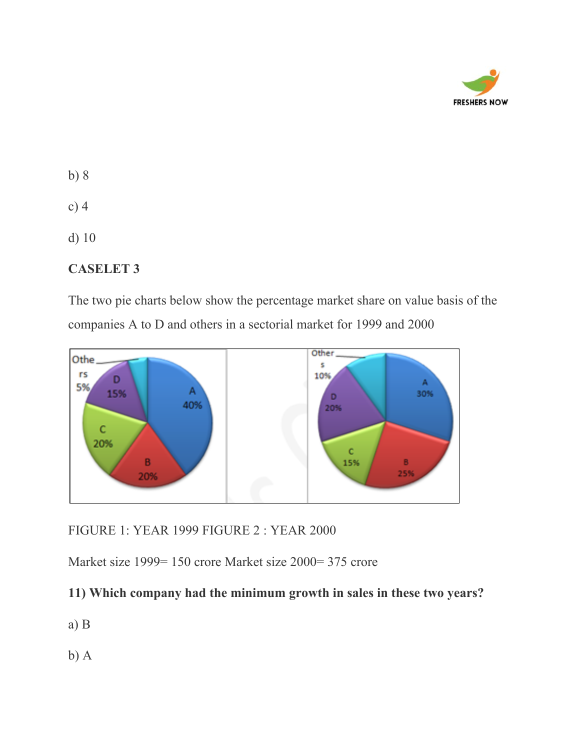

- b) 8
- c) 4
- d) 10

### **CASELET 3**

The two pie charts below show the percentage market share on value basis of the companies A to D and others in a sectorial market for 1999 and 2000



FIGURE 1: YEAR 1999 FIGURE 2 : YEAR 2000

Market size 1999= 150 crore Market size 2000= 375 crore

### **11) Which company had the minimum growth in sales in these two years?**

- a) B
- b) A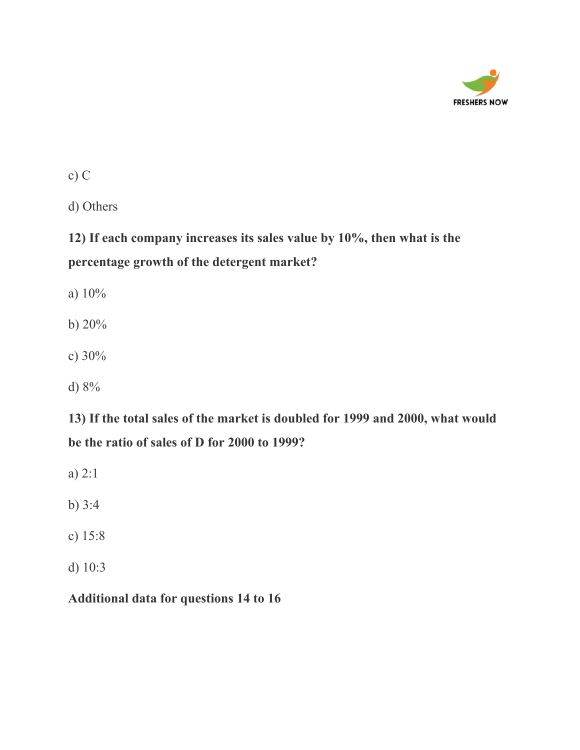

c) C

d) Others

**12) If each company increases its sales value by 10%, then what is the percentage growth of the detergent market?**

a) 10%

b) 20%

- c) 30%
- d) 8%

**13) If the total sales of the market is doubled for 1999 and 2000, what would be the ratio of sales of D for 2000 to 1999?**

a) 2:1

b) 3:4

- c) 15:8
- d) 10:3

### **Additional data for questions 14 to 16**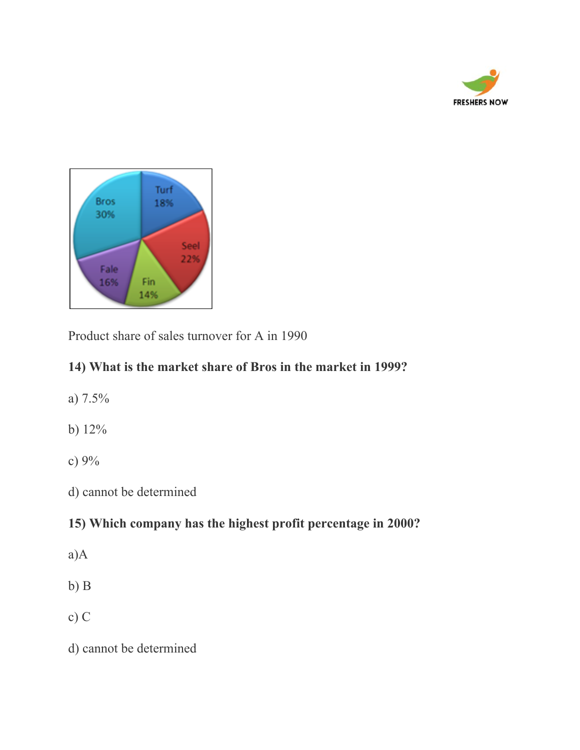



Product share of sales turnover for A in 1990

### **14) What is the market share of Bros in the market in 1999?**

- a) 7.5%
- b) 12%
- c) 9%
- d) cannot be determined

### **15) Which company has the highest profit percentage in 2000?**

- a)A
- b) B
- c) C
- d) cannot be determined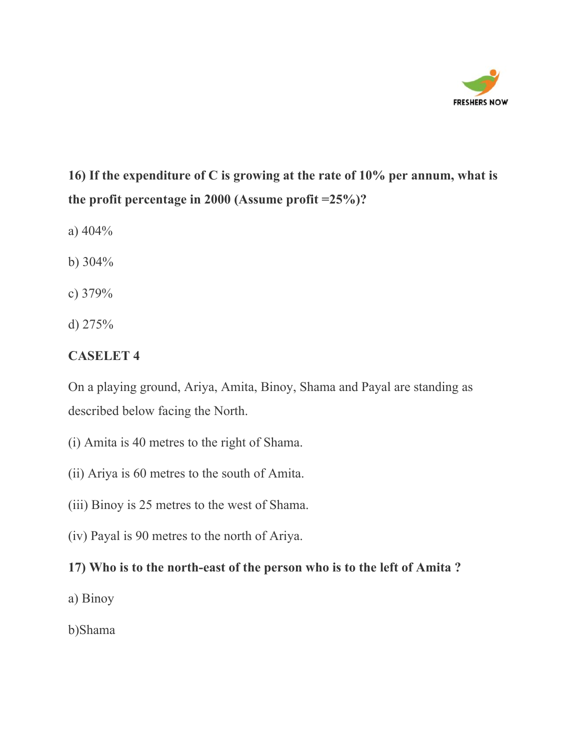

## **16) If the expenditure of C is growing at the rate of 10% per annum, what is the profit percentage in 2000 (Assume profit =25%)?**

- a) 404%
- b) 304%
- c) 379%
- d) 275%

### **CASELET 4**

On a playing ground, Ariya, Amita, Binoy, Shama and Payal are standing as described below facing the North.

- (i) Amita is 40 metres to the right of Shama.
- (ii) Ariya is 60 metres to the south of Amita.
- (iii) Binoy is 25 metres to the west of Shama.
- (iv) Payal is 90 metres to the north of Ariya.

### **17) Who is to the north-east of the person who is to the left of Amita ?**

- a) Binoy
- b)Shama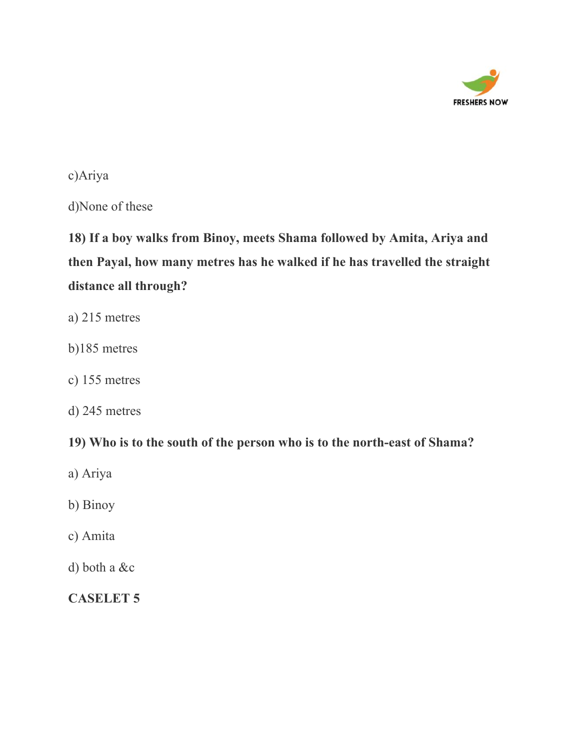

#### c)Ariya

d)None of these

# **18) If a boy walks from Binoy, meets Shama followed by Amita, Ariya and then Payal, how many metres has he walked if he has travelled the straight distance all through?**

- a) 215 metres
- b)185 metres
- c) 155 metres
- d) 245 metres

### **19) Who is to the south of the person who is to the north-east of Shama?**

- a) Ariya
- b) Binoy
- c) Amita
- d) both a &c

### **CASELET 5**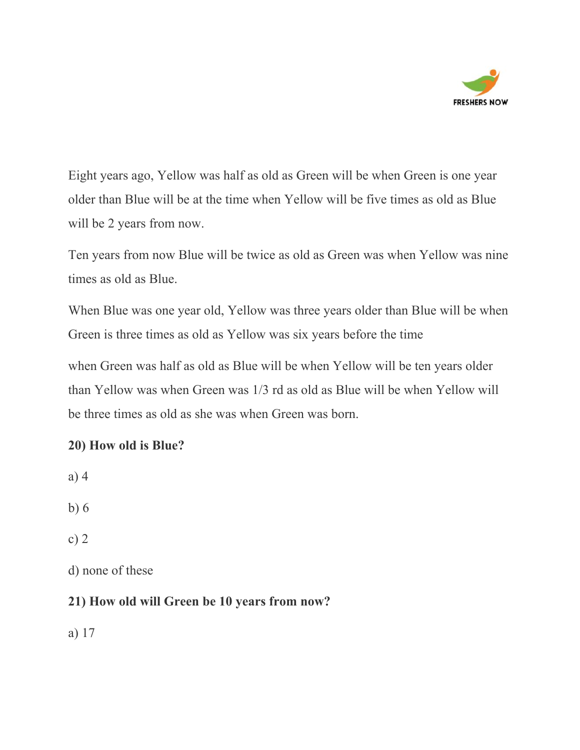

Eight years ago, Yellow was half as old as Green will be when Green is one year older than Blue will be at the time when Yellow will be five times as old as Blue will be 2 years from now.

Ten years from now Blue will be twice as old as Green was when Yellow was nine times as old as Blue.

When Blue was one year old, Yellow was three years older than Blue will be when Green is three times as old as Yellow was six years before the time

when Green was half as old as Blue will be when Yellow will be ten years older than Yellow was when Green was 1/3 rd as old as Blue will be when Yellow will be three times as old as she was when Green was born.

### **20) How old is Blue?**

a) 4

b) 6

c) 2

d) none of these

### **21) How old will Green be 10 years from now?**

a) 17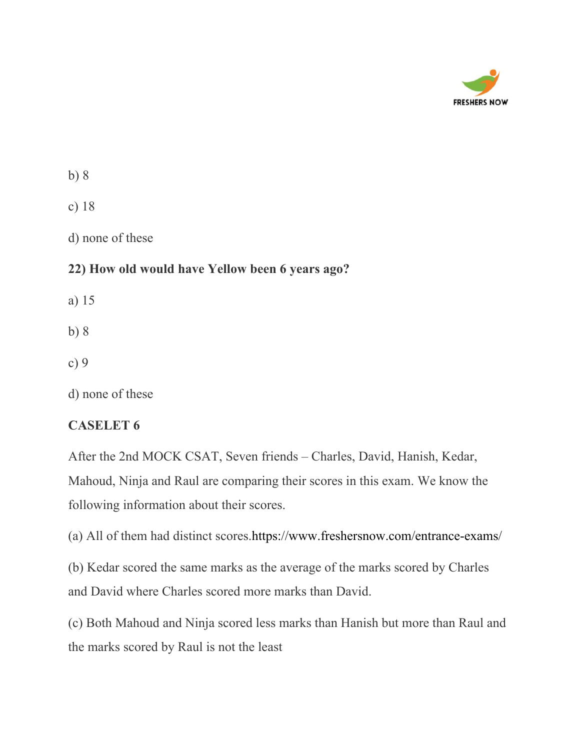

b) 8

c) 18

d) none of these

### **22) How old would have Yellow been 6 years ago?**

a) 15

b) 8

c) 9

d) none of these

### **CASELET 6**

After the 2nd MOCK CSAT, Seven friends – Charles, David, Hanish, Kedar, Mahoud, Ninja and Raul are comparing their scores in this exam. We know the following information about their scores.

(a) All of them had distinct scores.<https://www.freshersnow.com/entrance-exams/>

(b) Kedar scored the same marks as the average of the marks scored by Charles and David where Charles scored more marks than David.

(c) Both Mahoud and Ninja scored less marks than Hanish but more than Raul and the marks scored by Raul is not the least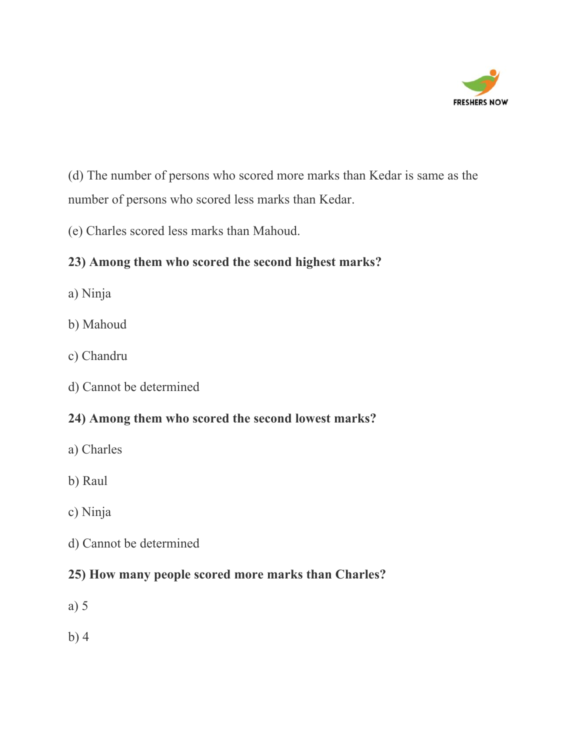

(d) The number of persons who scored more marks than Kedar is same as the number of persons who scored less marks than Kedar.

(e) Charles scored less marks than Mahoud.

### **23) Among them who scored the second highest marks?**

- a) Ninja
- b) Mahoud
- c) Chandru
- d) Cannot be determined

### **24) Among them who scored the second lowest marks?**

- a) Charles
- b) Raul
- c) Ninja
- d) Cannot be determined

### **25) How many people scored more marks than Charles?**

- a) 5
- b) 4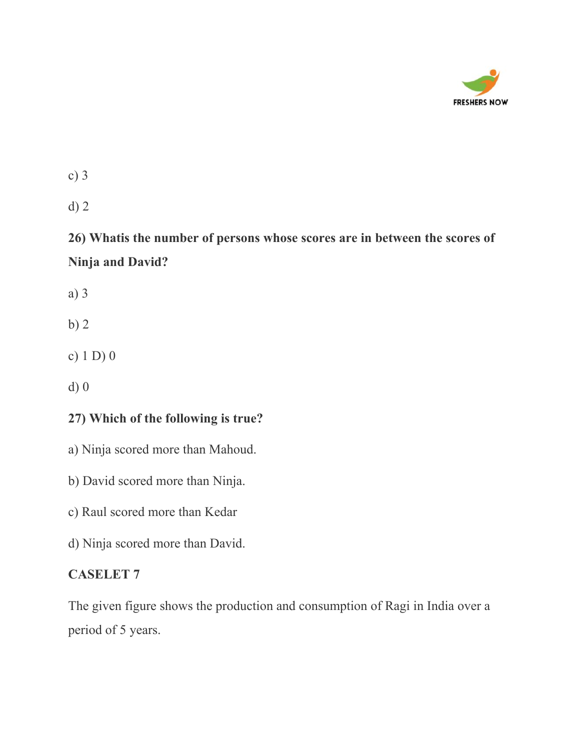

d) 2

**26) Whatis the number of persons whose scores are in between the scores of Ninja and David?**

a) 3

b) 2

c) 1 D) 0

d) 0

### **27) Which of the following is true?**

a) Ninja scored more than Mahoud.

b) David scored more than Ninja.

c) Raul scored more than Kedar

d) Ninja scored more than David.

### **CASELET 7**

The given figure shows the production and consumption of Ragi in India over a period of 5 years.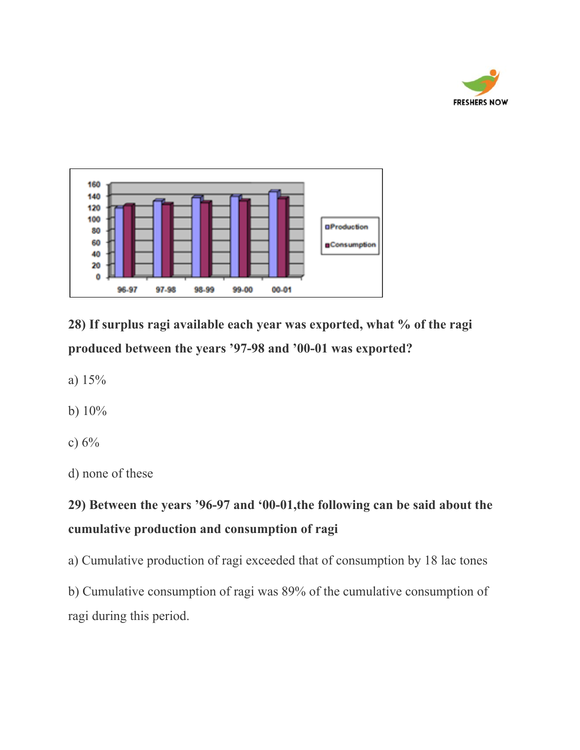



**28) If surplus ragi available each year was exported, what % of the ragi produced between the years '97-98 and '00-01 was exported?**

- a) 15%
- b) 10%
- c)  $6\%$

d) none of these

### **29) Between the years '96-97 and '00-01,the following can be said about the cumulative production and consumption of ragi**

a) Cumulative production of ragi exceeded that of consumption by 18 lac tones

b) Cumulative consumption of ragi was 89% of the cumulative consumption of ragi during this period.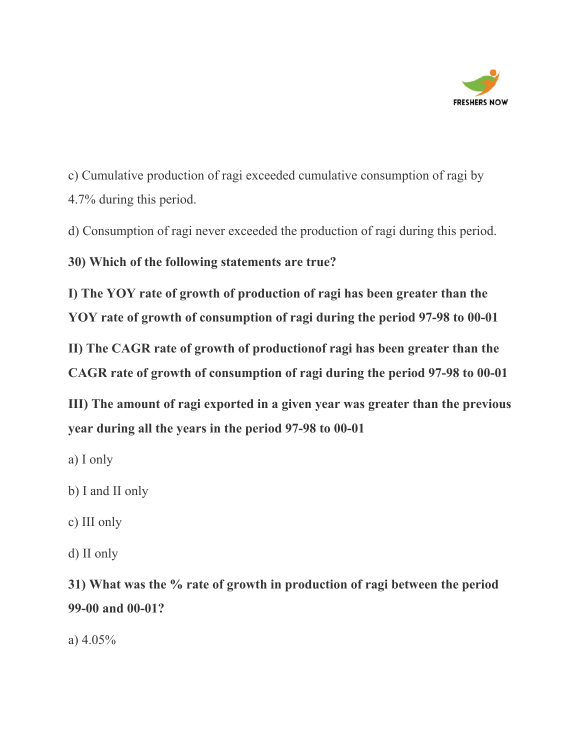

c) Cumulative production of ragi exceeded cumulative consumption of ragi by 4.7% during this period.

d) Consumption of ragi never exceeded the production of ragi during this period.

**30) Which of the following statements are true?**

**I) The YOY rate of growth of production of ragi has been greater than the YOY rate of growth of consumption of ragi during the period 97-98 to 00-01**

**II) The CAGR rate of growth of productionof ragi has been greater than the CAGR rate of growth of consumption of ragi during the period 97-98 to 00-01**

**III) The amount of ragi exported in a given year was greater than the previous year during all the years in the period 97-98 to 00-01**

- a) I only
- b) I and II only
- c) III only
- d) II only

**31) What was the % rate of growth in production of ragi between the period 99-00 and 00-01?**

a) 4.05%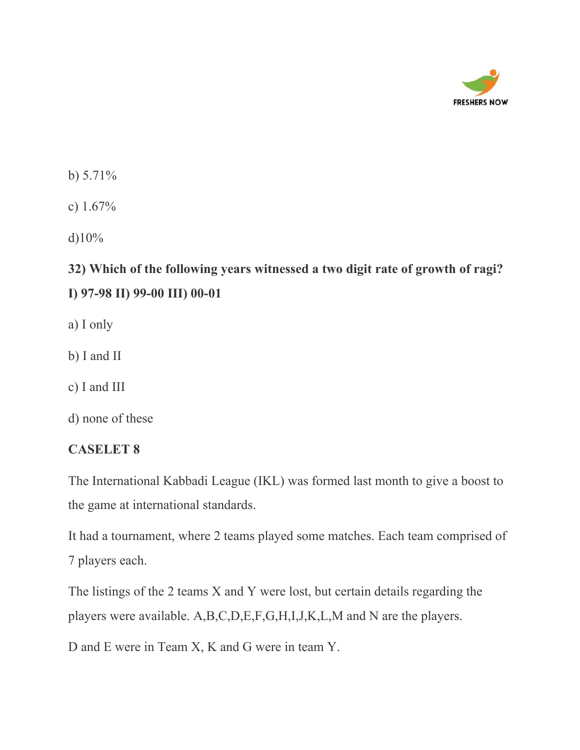

b)  $5.71\%$ 

c) 1.67%

d) $10\%$ 

## **32) Which of the following years witnessed a two digit rate of growth of ragi? I) 97-98 II) 99-00 III) 00-01**

- a) I only
- b) I and II
- c) I and III
- d) none of these

#### **CASELET 8**

The International Kabbadi League (IKL) was formed last month to give a boost to the game at international standards.

It had a tournament, where 2 teams played some matches. Each team comprised of 7 players each.

The listings of the 2 teams X and Y were lost, but certain details regarding the players were available. A,B,C,D,E,F,G,H,I,J,K,L,M and N are the players.

D and E were in Team X, K and G were in team Y.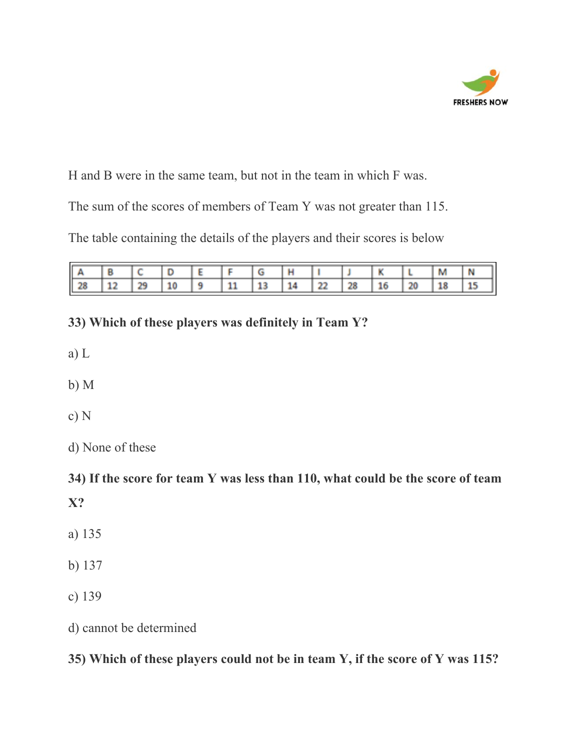

H and B were in the same team, but not in the team in which F was.

The sum of the scores of members of Team Y was not greater than 115.

The table containing the details of the players and their scores is below

|                         |                  |  |                                                                        |  |                        | 11.27 | M | N                 |
|-------------------------|------------------|--|------------------------------------------------------------------------|--|------------------------|-------|---|-------------------|
| Ш<br><b>1979</b><br>- 9 | <b>Color and</b> |  | 相称<br><b><i><u>PERSONAL PROPERTY AND IN THE REAL PROPERTY.</u></i></b> |  | <b>Barnett Barnett</b> |       |   | <b>STATISTICS</b> |

### **33) Which of these players was definitely in Team Y?**

- a) L
- b) M
- c) N
- d) None of these

**34) If the score for team Y was less than 110, what could be the score of team X?**

- a) 135
- b) 137
- c) 139

d) cannot be determined

**35) Which of these players could not be in team Y, if the score of Y was 115?**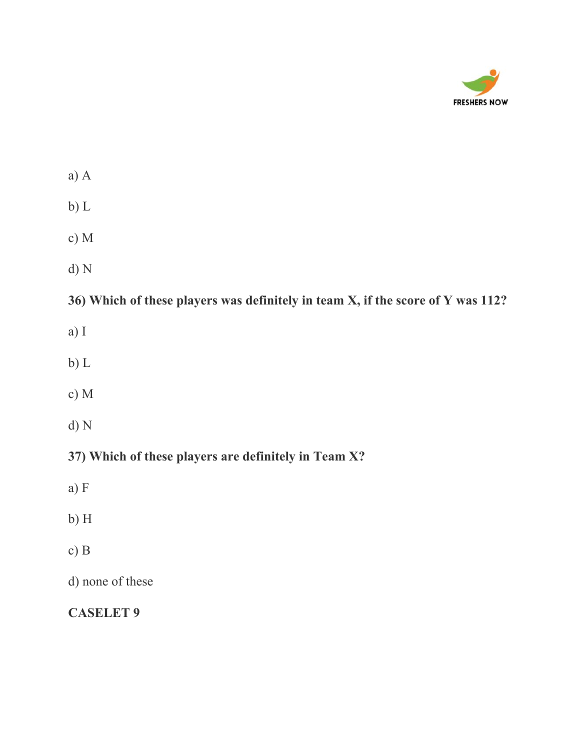

| ٠ |  |
|---|--|

- b) L
- c) M
- d) N

**36) Which of these players was definitely in team X, if the score of Y was 112?**

- a) I
- b) L
- c) M
- d) N

**37) Which of these players are definitely in Team X?**

- a) F
- b) H
- c) B

d) none of these

**CASELET 9**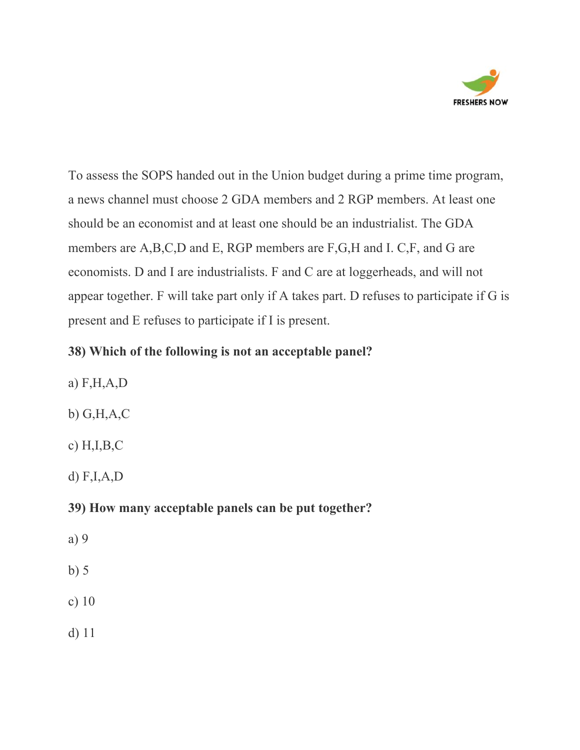

To assess the SOPS handed out in the Union budget during a prime time program, a news channel must choose 2 GDA members and 2 RGP members. At least one should be an economist and at least one should be an industrialist. The GDA members are A,B,C,D and E, RGP members are F,G,H and I. C,F, and G are economists. D and I are industrialists. F and C are at loggerheads, and will not appear together. F will take part only if A takes part. D refuses to participate if G is present and E refuses to participate if I is present.

### **38) Which of the following is not an acceptable panel?**

a) F,H,A,D b) G,H,A,C c) H,I,B,C d) F,I,A,D

### **39) How many acceptable panels can be put together?**

- a) 9
- b) 5
- c) 10
- d) 11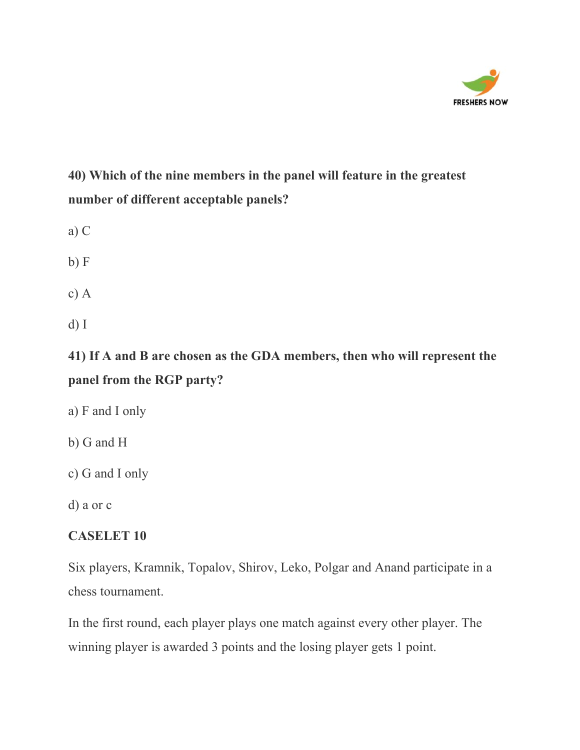

## **40) Which of the nine members in the panel will feature in the greatest number of different acceptable panels?**

- a) C
- $b) F$
- c) A
- d) I

**41) If A and B are chosen as the GDA members, then who will represent the panel from the RGP party?**

- a) F and I only
- b) G and H
- c) G and I only
- d) a or c

#### **CASELET 10**

Six players, Kramnik, Topalov, Shirov, Leko, Polgar and Anand participate in a chess tournament.

In the first round, each player plays one match against every other player. The winning player is awarded 3 points and the losing player gets 1 point.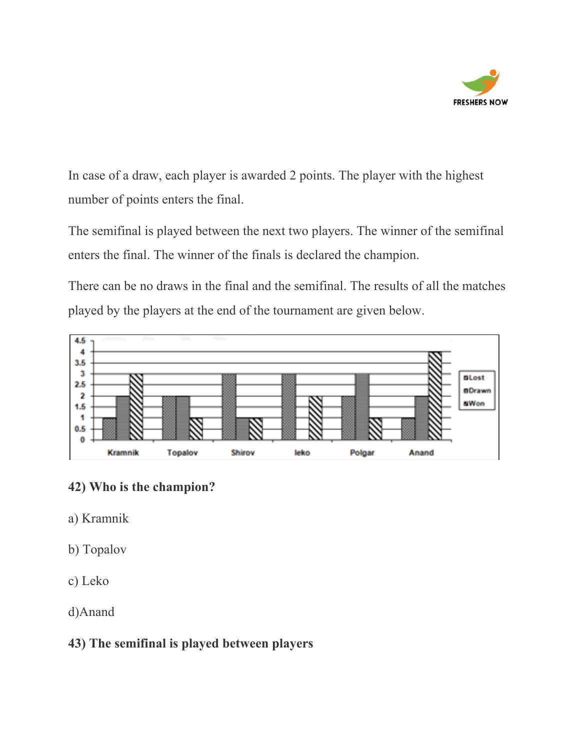

In case of a draw, each player is awarded 2 points. The player with the highest number of points enters the final.

The semifinal is played between the next two players. The winner of the semifinal enters the final. The winner of the finals is declared the champion.

There can be no draws in the final and the semifinal. The results of all the matches played by the players at the end of the tournament are given below.



### **42) Who is the champion?**

- a) Kramnik
- b) Topalov
- c) Leko
- d)Anand

### **43) The semifinal is played between players**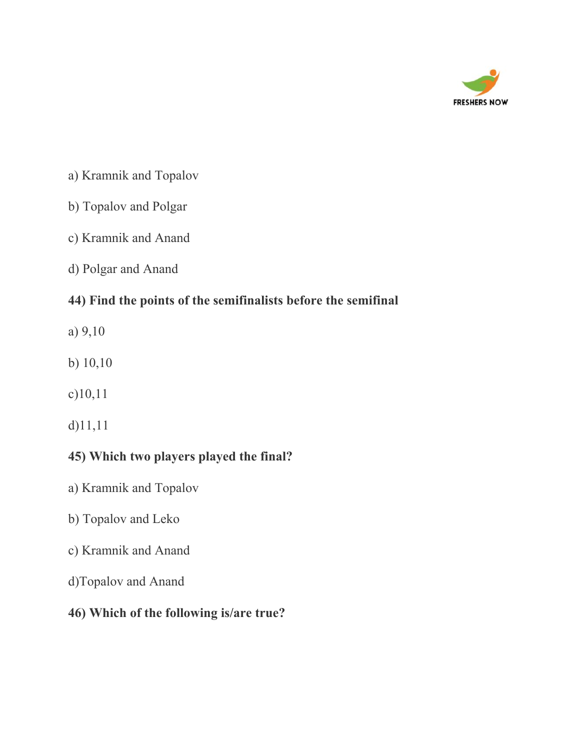

- a) Kramnik and Topalov
- b) Topalov and Polgar
- c) Kramnik and Anand
- d) Polgar and Anand

### **44) Find the points of the semifinalists before the semifinal**

- a) 9,10
- b) 10,10
- c)10,11
- d)11,11

### **45) Which two players played the final?**

- a) Kramnik and Topalov
- b) Topalov and Leko
- c) Kramnik and Anand
- d)Topalov and Anand
- **46) Which of the following is/are true?**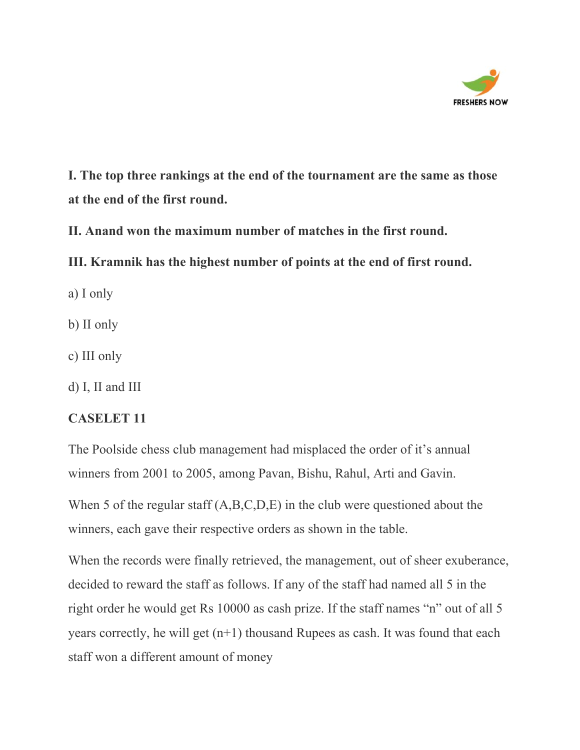

**I. The top three rankings at the end of the tournament are the same as those at the end of the first round.**

**II. Anand won the maximum number of matches in the first round.**

**III. Kramnik has the highest number of points at the end of first round.**

a) I only

b) II only

c) III only

d) I, II and III

#### **CASELET 11**

The Poolside chess club management had misplaced the order of it's annual winners from 2001 to 2005, among Pavan, Bishu, Rahul, Arti and Gavin.

When 5 of the regular staff  $(A, B, C, D, E)$  in the club were questioned about the winners, each gave their respective orders as shown in the table.

When the records were finally retrieved, the management, out of sheer exuberance, decided to reward the staff as follows. If any of the staff had named all 5 in the right order he would get Rs 10000 as cash prize. If the staff names "n" out of all 5 years correctly, he will get (n+1) thousand Rupees as cash. It was found that each staff won a different amount of money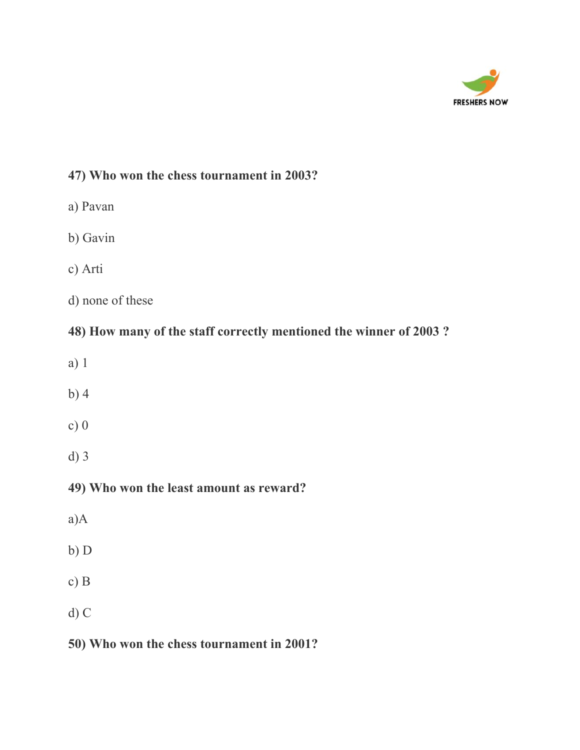

### **47) Who won the chess tournament in 2003?**

- a) Pavan
- b) Gavin
- c) Arti
- d) none of these

### **48) How many of the staff correctly mentioned the winner of 2003 ?**

- a) 1
- b) 4
- c) 0
- d) 3

### **49) Who won the least amount as reward?**

- a)A
- b) D
- c) B
- d) C

### **50) Who won the chess tournament in 2001?**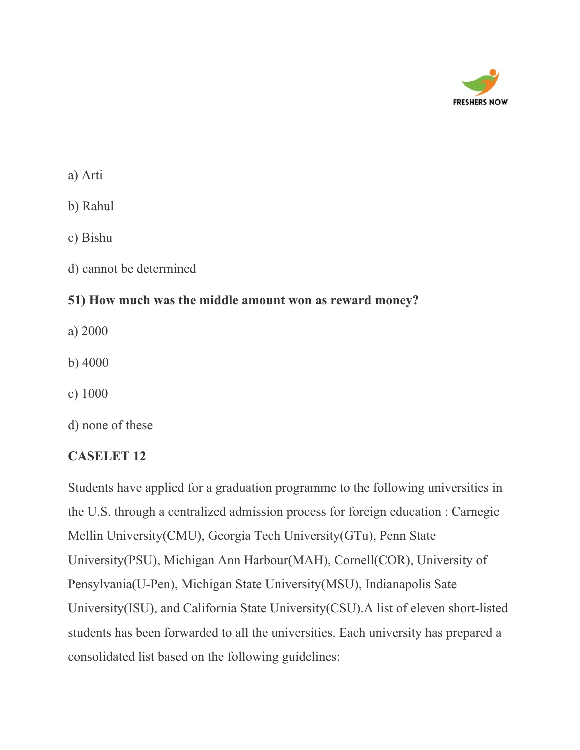

a) Arti

b) Rahul

c) Bishu

d) cannot be determined

### **51) How much was the middle amount won as reward money?**

- a) 2000
- b) 4000
- c) 1000
- d) none of these

### **CASELET 12**

Students have applied for a graduation programme to the following universities in the U.S. through a centralized admission process for foreign education : Carnegie Mellin University(CMU), Georgia Tech University(GTu), Penn State University(PSU), Michigan Ann Harbour(MAH), Cornell(COR), University of Pensylvania(U-Pen), Michigan State University(MSU), Indianapolis Sate University(ISU), and California State University(CSU).A list of eleven short-listed students has been forwarded to all the universities. Each university has prepared a consolidated list based on the following guidelines: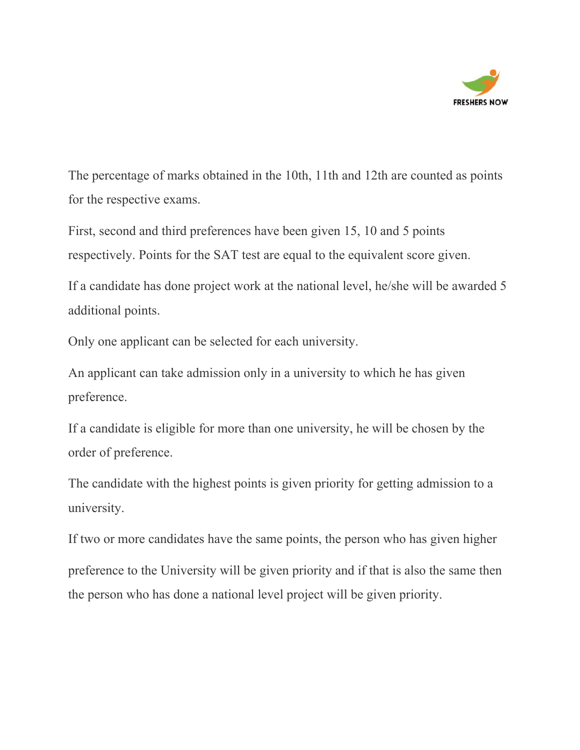

The percentage of marks obtained in the 10th, 11th and 12th are counted as points for the respective exams.

First, second and third preferences have been given 15, 10 and 5 points respectively. Points for the SAT test are equal to the equivalent score given.

If a candidate has done project work at the national level, he/she will be awarded 5 additional points.

Only one applicant can be selected for each university.

An applicant can take admission only in a university to which he has given preference.

If a candidate is eligible for more than one university, he will be chosen by the order of preference.

The candidate with the highest points is given priority for getting admission to a university.

If two or more candidates have the same points, the person who has given higher preference to the University will be given priority and if that is also the same then the person who has done a national level project will be given priority.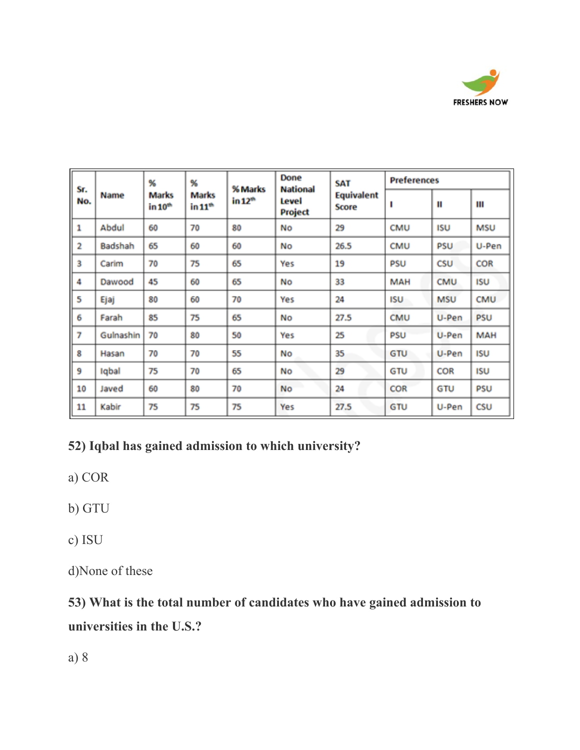

|            |           | %                                   | %                                |                                | Done                                | SAT                        | <b>Preferences</b> |            |            |
|------------|-----------|-------------------------------------|----------------------------------|--------------------------------|-------------------------------------|----------------------------|--------------------|------------|------------|
| Sr.<br>No. | Name      | <b>Marks</b><br>in 10 <sup>th</sup> | <b>Marks</b><br>$\ln 11^{\circ}$ | % Marks<br>in 12 <sup>th</sup> | <b>National</b><br>Level<br>Project | <b>Equivalent</b><br>Score | п                  | п          | Ш          |
| 1          | Abdul     | 60                                  | 70                               | 80                             | No                                  | 29                         | <b>CMU</b>         | <b>ISU</b> | <b>MSU</b> |
| 2          | Badshah   | 65                                  | 60                               | 60                             | No                                  | 26.5                       | CMU                | <b>PSU</b> | U-Pen      |
| 3          | Carim     | 70                                  | 75                               | 65                             | Yes                                 | 19                         | PSU                | CSU        | COR        |
| 4          | Dawood    | 45                                  | 60                               | 65                             | No                                  | 33                         | MAH                | CMU        | <b>ISU</b> |
| 5          | Ejaj      | 80                                  | 60                               | 70                             | Yes                                 | 24                         | ISU                | <b>MSU</b> | CMU        |
| 6          | Farah     | 85                                  | 75                               | 65                             | No                                  | 27.5                       | <b>CMU</b>         | U-Pen      | <b>PSU</b> |
| 7          | Gulnashin | 70                                  | 80                               | 50                             | Yes                                 | 25                         | PSU                | U-Pen      | <b>MAH</b> |
| 8          | Hasan     | 70                                  | 70                               | 55                             | No                                  | 35                         | GTU                | U-Pen      | <b>ISU</b> |
| 9          | Iqbal     | 75                                  | 70                               | 65                             | No                                  | 29                         | GTU                | COR        | <b>ISU</b> |
| 10         | Javed     | 60                                  | 80                               | 70                             | No                                  | 24                         | <b>COR</b>         | GTU        | <b>PSU</b> |
| 11         | Kabir     | 75                                  | 75                               | 75                             | Yes                                 | 27.5                       | GTU                | U-Pen      | CSU        |

### **52) Iqbal has gained admission to which university?**

a) COR

c) ISU

d)None of these

# **53) What is the total number of candidates who have gained admission to universities in the U.S.?**

a) 8

b) GTU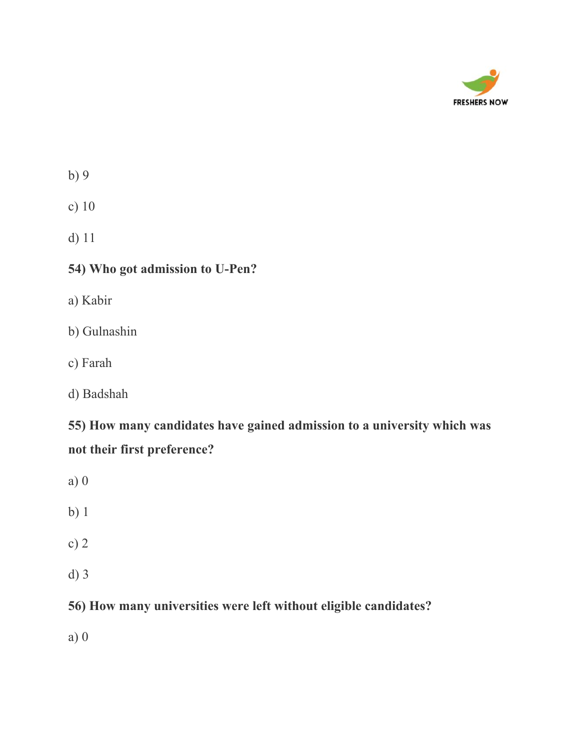

| I<br>۰.<br>×<br>- | ۰.<br>c |
|-------------------|---------|
|                   |         |

d) 11

### **54) Who got admission to U-Pen?**

a) Kabir

b) Gulnashin

c) Farah

d) Badshah

**55) How many candidates have gained admission to a university which was not their first preference?**

a) 0

b) 1

c) 2

d) 3

**56) How many universities were left without eligible candidates?**

a) 0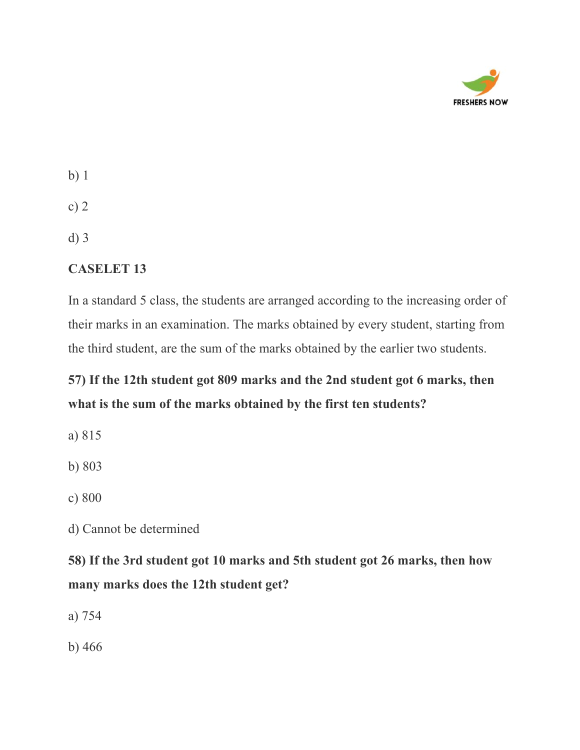

| ٧<br>×<br>۰.<br>٠<br>×. |  |
|-------------------------|--|
|-------------------------|--|

d) 3

#### **CASELET 13**

In a standard 5 class, the students are arranged according to the increasing order of their marks in an examination. The marks obtained by every student, starting from the third student, are the sum of the marks obtained by the earlier two students.

### **57) If the 12th student got 809 marks and the 2nd student got 6 marks, then what is the sum of the marks obtained by the first ten students?**

a) 815

b) 803

c) 800

d) Cannot be determined

**58) If the 3rd student got 10 marks and 5th student got 26 marks, then how many marks does the 12th student get?**

a) 754

b) 466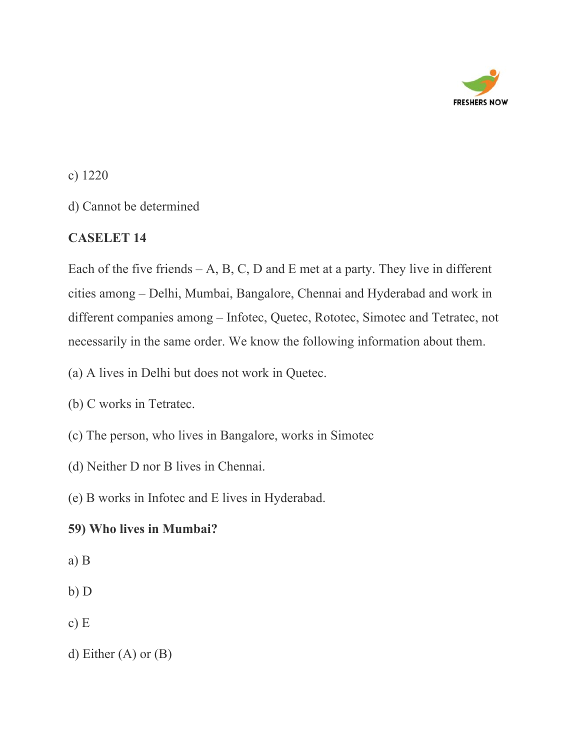

d) Cannot be determined

### **CASELET 14**

Each of the five friends  $-A$ , B, C, D and E met at a party. They live in different cities among – Delhi, Mumbai, Bangalore, Chennai and Hyderabad and work in different companies among – Infotec, Quetec, Rototec, Simotec and Tetratec, not necessarily in the same order. We know the following information about them.

(a) A lives in Delhi but does not work in Quetec.

- (b) C works in Tetratec.
- (c) The person, who lives in Bangalore, works in Simotec
- (d) Neither D nor B lives in Chennai.

(e) B works in Infotec and E lives in Hyderabad.

### **59) Who lives in Mumbai?**

- a) B
- b) D
- c) E
- d) Either (A) or (B)